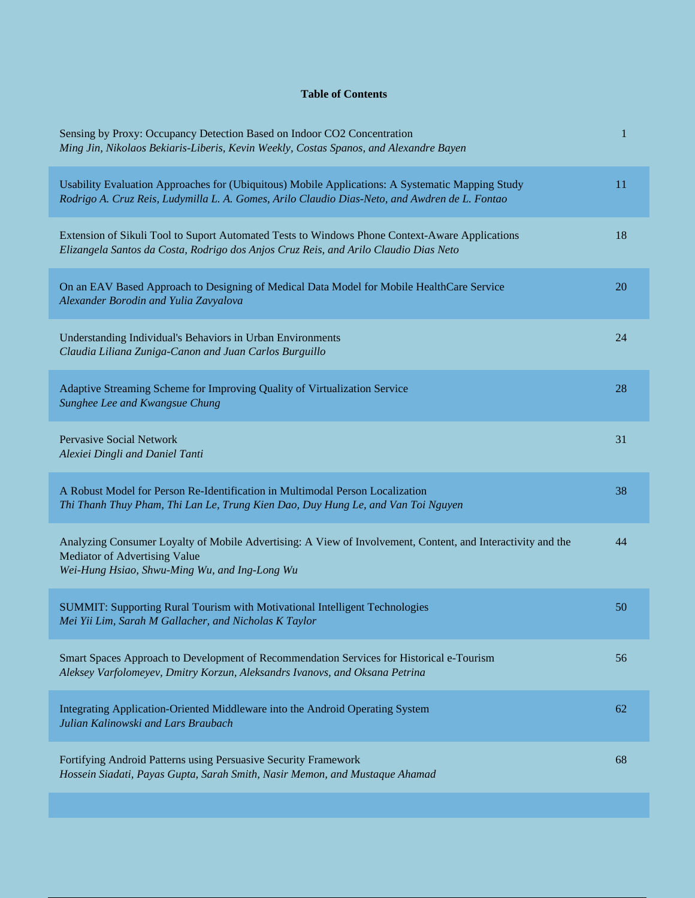## **Table of Contents**

| Sensing by Proxy: Occupancy Detection Based on Indoor CO2 Concentration<br>Ming Jin, Nikolaos Bekiaris-Liberis, Kevin Weekly, Costas Spanos, and Alexandre Bayen                                  | 1  |
|---------------------------------------------------------------------------------------------------------------------------------------------------------------------------------------------------|----|
| Usability Evaluation Approaches for (Ubiquitous) Mobile Applications: A Systematic Mapping Study<br>Rodrigo A. Cruz Reis, Ludymilla L. A. Gomes, Arilo Claudio Dias-Neto, and Awdren de L. Fontao | 11 |
| Extension of Sikuli Tool to Suport Automated Tests to Windows Phone Context-Aware Applications<br>Elizangela Santos da Costa, Rodrigo dos Anjos Cruz Reis, and Arilo Claudio Dias Neto            | 18 |
| On an EAV Based Approach to Designing of Medical Data Model for Mobile HealthCare Service<br>Alexander Borodin and Yulia Zavyalova                                                                | 20 |
| Understanding Individual's Behaviors in Urban Environments<br>Claudia Liliana Zuniga-Canon and Juan Carlos Burguillo                                                                              | 24 |
| Adaptive Streaming Scheme for Improving Quality of Virtualization Service<br>Sunghee Lee and Kwangsue Chung                                                                                       | 28 |
| <b>Pervasive Social Network</b><br>Alexiei Dingli and Daniel Tanti                                                                                                                                | 31 |
| A Robust Model for Person Re-Identification in Multimodal Person Localization<br>Thi Thanh Thuy Pham, Thi Lan Le, Trung Kien Dao, Duy Hung Le, and Van Toi Nguyen                                 | 38 |
| Analyzing Consumer Loyalty of Mobile Advertising: A View of Involvement, Content, and Interactivity and the<br>Mediator of Advertising Value<br>Wei-Hung Hsiao, Shwu-Ming Wu, and Ing-Long Wu     | 44 |
| SUMMIT: Supporting Rural Tourism with Motivational Intelligent Technologies<br>Mei Yii Lim, Sarah M Gallacher, and Nicholas K Taylor                                                              | 50 |
| Smart Spaces Approach to Development of Recommendation Services for Historical e-Tourism<br>Aleksey Varfolomeyev, Dmitry Korzun, Aleksandrs Ivanovs, and Oksana Petrina                           | 56 |
| Integrating Application-Oriented Middleware into the Android Operating System<br>Julian Kalinowski and Lars Braubach                                                                              | 62 |
| Fortifying Android Patterns using Persuasive Security Framework<br>Hossein Siadati, Payas Gupta, Sarah Smith, Nasir Memon, and Mustaque Ahamad                                                    | 68 |